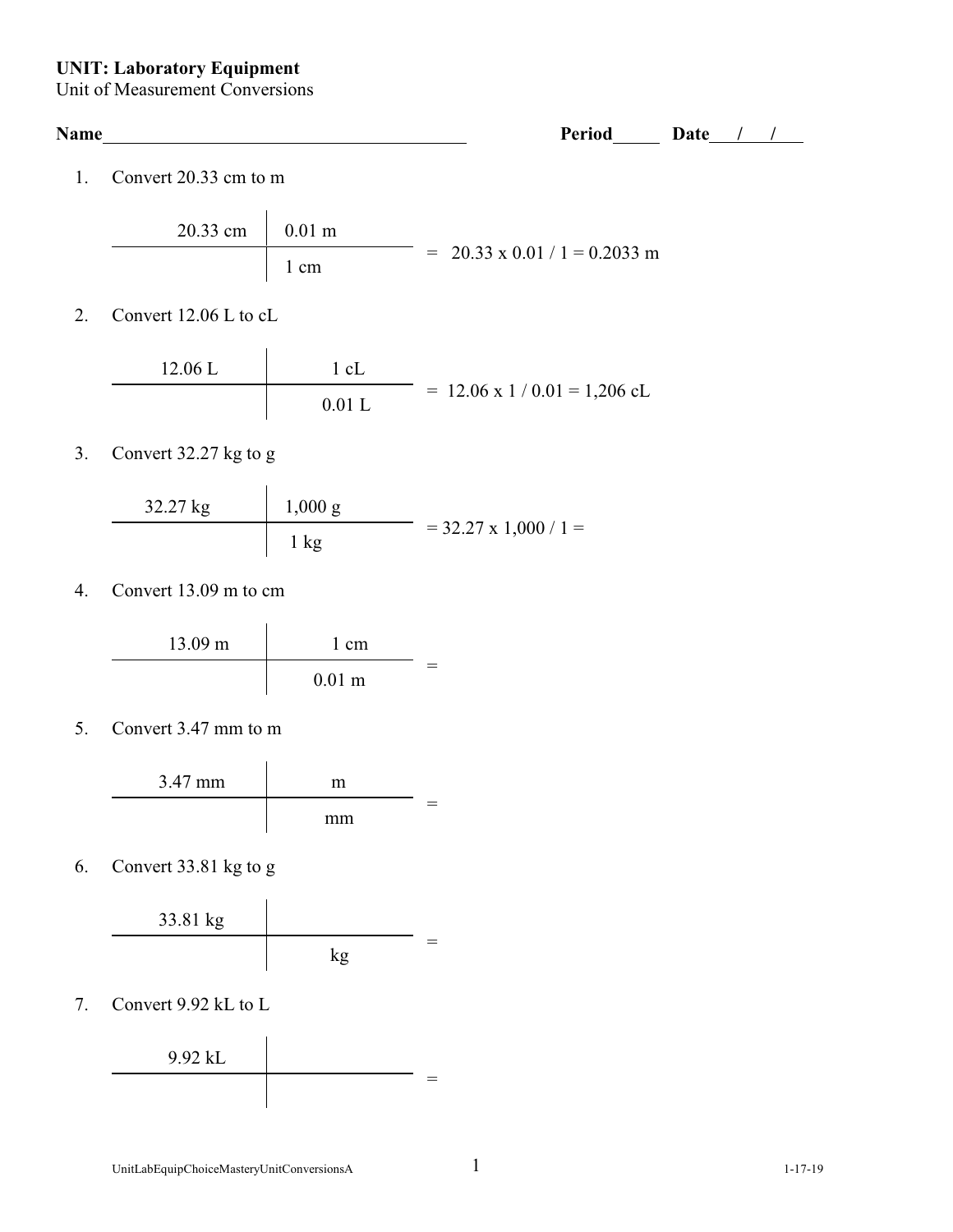## **UNIT: Laboratory Equipment**

Unit of Measurement Conversions

| Name           |                         |                | Period                                       | Date |  |
|----------------|-------------------------|----------------|----------------------------------------------|------|--|
| $\mathbf{1}$ . | Convert $20.33$ cm to m |                |                                              |      |  |
|                | 20.33 cm                | $0.01$ m       | $= 20.33 \times 0.01 / 1 = 0.2033$ m         |      |  |
|                |                         | 1 cm           |                                              |      |  |
| $2^{\circ}$    | Convert 12.06 L to cL   |                |                                              |      |  |
|                | 12.06 L                 | $1 \text{ cL}$ |                                              |      |  |
|                |                         | 0.01L          | $= 12.06 \times 1 / 0.01 = 1,206 \text{ cL}$ |      |  |

3. Convert 32.27 kg to g

$$
\begin{array}{c|c}\n 32.27 \text{ kg} & 1,000 \text{ g} \\
\hline\n 1 \text{ kg} & = 32.27 \text{ x } 1,000 / 1 = 0\n \end{array}
$$

4. Convert 13.09 m to cm



5. Convert 3.47 mm to m



6. Convert 33.81 kg to g



7. Convert 9.92 kL to L